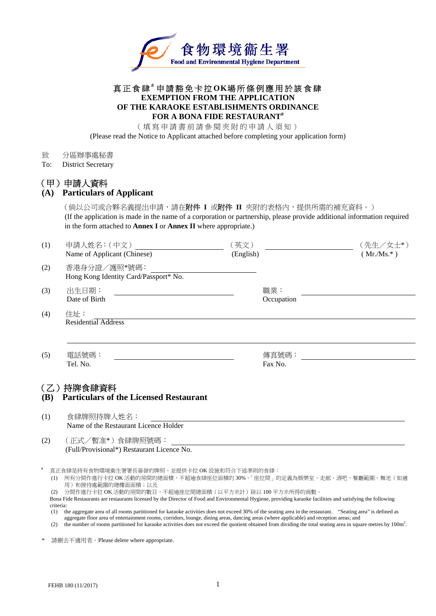

#### 真正食肆 **#** 申請豁免卡拉 **OK**場所條例應用於該食肆 **EXEMPTION FROM THE APPLICATION OF THE KARAOKE ESTABLISHMENTS ORDINANCE FOR A BONA FIDE RESTAURANT#**

(填寫申請書前請參閱夾附的申請人須知)

(Please read the Notice to Applicant attached before completing your application form)

- 致 分區辦事處秘書
- To: District Secretary

## (甲)申請人資料

| (A)<br><b>Particulars of Applicant</b> |
|----------------------------------------|
|----------------------------------------|

(倘以公司或合夥名義提出申請,請在附件 **I** 或附件 **II** 夾附的表格內,提供所需的補充資料。) (If the application is made in the name of a corporation or partnership, please provide additional information required in the form attached to **Annex I** or **Annex II** where appropriate.)

| (1)                                                                      | 申請人姓名: (中文)<br>Name of Applicant (Chinese)                                                                                                                                                                                                                                                                                                                          | (英文)<br>(English) |                   | (先生/女士*)<br>$(Mr/Ms.*)$ |  |
|--------------------------------------------------------------------------|---------------------------------------------------------------------------------------------------------------------------------------------------------------------------------------------------------------------------------------------------------------------------------------------------------------------------------------------------------------------|-------------------|-------------------|-------------------------|--|
| (2)                                                                      | 香港身分證/護照*號碼:<br>Hong Kong Identity Card/Passport* No.                                                                                                                                                                                                                                                                                                               |                   |                   |                         |  |
| (3)                                                                      | 出生日期:<br>Date of Birth                                                                                                                                                                                                                                                                                                                                              |                   | 職業:<br>Occupation |                         |  |
| (4)                                                                      | 住址:<br>Residential Address                                                                                                                                                                                                                                                                                                                                          |                   |                   |                         |  |
| (5)                                                                      | 電話號碼:<br>Tel. No.                                                                                                                                                                                                                                                                                                                                                   |                   | 傳真號碼:<br>Fax No.  |                         |  |
| (乙)持牌食肆資料<br><b>Particulars of the Licensed Restaurant</b><br><b>(B)</b> |                                                                                                                                                                                                                                                                                                                                                                     |                   |                   |                         |  |
| (1)                                                                      | 食肆牌照持牌人姓名:<br>Name of the Restaurant Licence Holder                                                                                                                                                                                                                                                                                                                 |                   |                   |                         |  |
| (2)                                                                      | (正式/暫准*)食肆牌照號碼:<br>(Full/Provisional*) Restaurant Licence No.                                                                                                                                                                                                                                                                                                       |                   |                   |                         |  |
| criteria:                                                                | 真正食肆是持有食物環境衛生署署長簽發的牌照,並提供卡拉 OK 設施和符合下述準則的食肆:<br>(1) 所有分間作進行卡拉 OK 活動的房間的總面積,不超逾食肆座位面積的 30%。「座位間」的定義為娛樂室、走廊、酒吧、餐廳範圍、舞池(如適<br>用)和接待處範圍的總樓面面積;以及<br>分間作進行卡拉 OK 活動的房間的數目,不超逾座位間總面積(以平方米計)除以 100 平方米所得的商數。<br>Bona Fide Restaurants are restaurants licensed by the Director of Food and Environmental Hygiene, providing karaoke facilities and satisfying the following |                   |                   |                         |  |

(1) the aggregate area of all rooms partitioned for karaoke activities does not exceed 30% of the seating area in the restaurant. "Seating area" is defined as aggregate floor area of entertainment rooms, corridors, lounge, dining areas, dancing areas (where applicable) and reception areas; and<br>(2) the number of rooms partitioned for karaoke activities does not exceed the quotien

請刪去不適用者。Please delete where appropriate.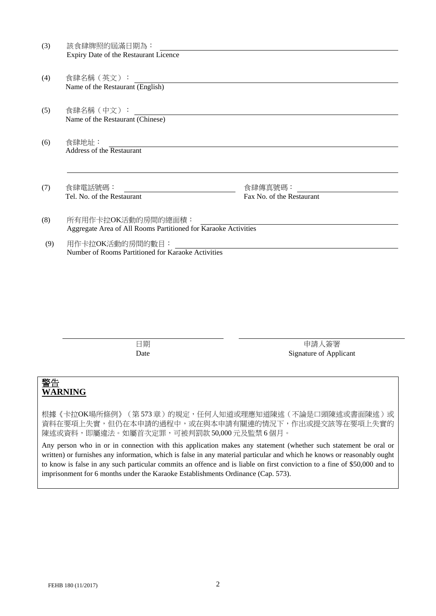| (3) | 該食肆牌照的屆滿日期為:                                                   |                           |
|-----|----------------------------------------------------------------|---------------------------|
|     | Expiry Date of the Restaurant Licence                          |                           |
|     |                                                                |                           |
| (4) | 食肆名稱 (英文) :                                                    |                           |
|     | Name of the Restaurant (English)                               |                           |
|     |                                                                |                           |
| (5) | 食肆名稱 (中文):                                                     |                           |
|     | Name of the Restaurant (Chinese)                               |                           |
|     |                                                                |                           |
| (6) | 食肆地址:                                                          |                           |
|     | Address of the Restaurant                                      |                           |
|     |                                                                |                           |
|     |                                                                |                           |
| (7) | 食肆電話號碼:                                                        | 食肆傳真號碼:                   |
|     | Tel. No. of the Restaurant                                     | Fax No. of the Restaurant |
|     |                                                                |                           |
| (8) | 所有用作卡拉OK活動的房間的總面積:                                             |                           |
|     | Aggregate Area of All Rooms Partitioned for Karaoke Activities |                           |
| (9) | 用作卡拉OK活動的房間的數目:                                                |                           |
|     | Number of Rooms Partitioned for Karaoke Activities             |                           |

日期 Date

申請人簽署 Signature of Applicant

## 警告 **WARNING**

根據《卡拉OK場所條例》(第 573 章)的規定,任何人知道或理應知道陳述(不論是口頭陳述或書面陳述)或 資料在要項上失實,但仍在本申請的過程中,或在與本申請有關連的情況下,作出或提交該等在要項上失實的 陳述或資料,即屬違法。如屬首次定罪,可被判罰款 50,000 元及監禁 6 個月。

Any person who in or in connection with this application makes any statement (whether such statement be oral or written) or furnishes any information, which is false in any material particular and which he knows or reasonably ought to know is false in any such particular commits an offence and is liable on first conviction to a fine of \$50,000 and to imprisonment for 6 months under the Karaoke Establishments Ordinance (Cap. 573).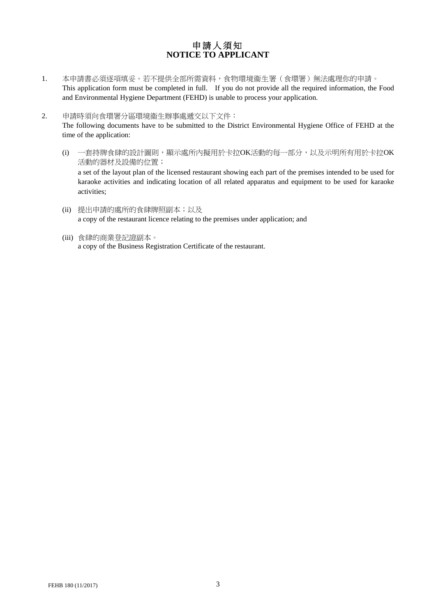## 申請人須知 **NOTICE TO APPLICANT**

- 1. 本申請書必須逐項填妥。若不提供全部所需資料,食物環境衞生署(食環署)無法處理你的申請。 This application form must be completed in full. If you do not provide all the required information, the Food and Environmental Hygiene Department (FEHD) is unable to process your application.
- 2. 申請時須向食環署分區環境衞生辦事處遞交以下文件:

The following documents have to be submitted to the District Environmental Hygiene Office of FEHD at the time of the application:

- (i) 一套持牌食肆的設計圖則,顯示處所內擬用於卡拉OK活動的每一部分,以及示明所有用於卡拉OK 活動的器材及設備的位置; a set of the layout plan of the licensed restaurant showing each part of the premises intended to be used for karaoke activities and indicating location of all related apparatus and equipment to be used for karaoke activities;
- (ii) 提出申請的處所的食肆牌照副本;以及 a copy of the restaurant licence relating to the premises under application; and
- (iii) 食肆的商業登記證副本。 a copy of the Business Registration Certificate of the restaurant.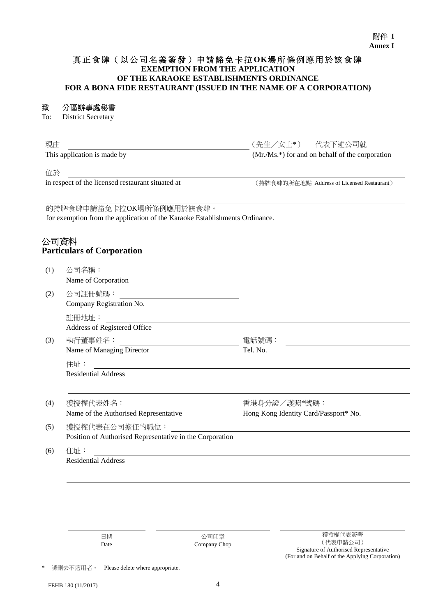#### 附件 **I Annex I**

#### 真正食肆(以公司名義簽發)申請豁免卡拉 **OK**場所條例應用於該食肆 **EXEMPTION FROM THE APPLICATION OF THE KARAOKE ESTABLISHMENTS ORDINANCE FOR A BONA FIDE RESTAURANT (ISSUED IN THE NAME OF A CORPORATION)**

#### 致 分區辦事處秘書

To: District Secretary

| 現由                          | (先生/女士*)  代表下述公司就                                |
|-----------------------------|--------------------------------------------------|
| This application is made by | $(Mr/Ms.*)$ for and on behalf of the corporation |

位於

in respect of the licensed restaurant situated at (持牌食肆的所在地點 Address of Licensed Restaurant)

#### 的持牌食肆申請豁免卡拉OK場所條例應用於該食肆。

for exemption from the application of the Karaoke Establishments Ordinance.

## 公司資料 **Particulars of Corporation**

| (1) | 公司名稱:                                                    |                                       |
|-----|----------------------------------------------------------|---------------------------------------|
|     | Name of Corporation                                      |                                       |
| (2) | 公司註冊號碼:                                                  |                                       |
|     | Company Registration No.                                 |                                       |
|     | 註冊地址:                                                    |                                       |
|     | Address of Registered Office                             |                                       |
| (3) | 執行董事姓名:                                                  | 電話號碼:                                 |
|     | Name of Managing Director                                | Tel. No.                              |
|     | 住址:                                                      |                                       |
|     | <b>Residential Address</b>                               |                                       |
|     |                                                          |                                       |
| (4) | 獲授權代表姓名:                                                 | 香港身分證/護照*號碼:                          |
|     | Name of the Authorised Representative                    | Hong Kong Identity Card/Passport* No. |
| (5) | 獲授權代表在公司擔任的職位:                                           |                                       |
|     | Position of Authorised Representative in the Corporation |                                       |
| (6) | 住址:                                                      |                                       |
|     | <b>Residential Address</b>                               |                                       |

日期 Date

公司印章 Company Chop

請刪去不適用者。 Please delete where appropriate.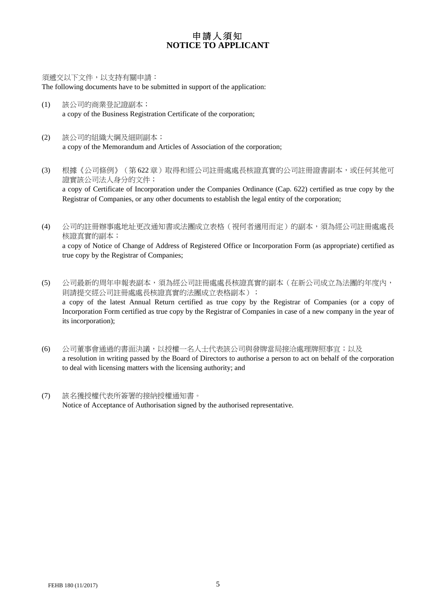## 申請人須知 **NOTICE TO APPLICANT**

須遞交以下文件,以支持有關申請:

The following documents have to be submitted in support of the application:

- (1) 該公司的商業登記證副本; a copy of the Business Registration Certificate of the corporation;
- (2) 該公司的組織大綱及細則副本; a copy of the Memorandum and Articles of Association of the corporation;
- (3) 根據《公司條例》(第 622 章)取得和經公司註冊處處長核證真實的公司註冊證書副本,或任何其他可 證實該公司法人身分的文件; a copy of Certificate of Incorporation under the Companies Ordinance (Cap. 622) certified as true copy by the Registrar of Companies, or any other documents to establish the legal entity of the corporation;
- (4) 公司的註冊辦事處地址更改通知書或法團成立表格(視何者適用而定)的副本,須為經公司註冊處處長 核證真實的副本; a copy of Notice of Change of Address of Registered Office or Incorporation Form (as appropriate) certified as true copy by the Registrar of Companies;
- (5) 公司最新的周年申報表副本,須為經公司註冊處處長核證真實的副本(在新公司成立為法團的年度內, 則請提交經公司註冊處處長核證真實的法團成立表格副本); a copy of the latest Annual Return certified as true copy by the Registrar of Companies (or a copy of Incorporation Form certified as true copy by the Registrar of Companies in case of a new company in the year of its incorporation);
- (6) 公司董事會通過的書面決議,以授權一名人士代表該公司與發牌當局接洽處理牌照事宜;以及 a resolution in writing passed by the Board of Directors to authorise a person to act on behalf of the corporation to deal with licensing matters with the licensing authority; and
- (7) 該名獲授權代表所簽署的接納授權通知書。 Notice of Acceptance of Authorisation signed by the authorised representative.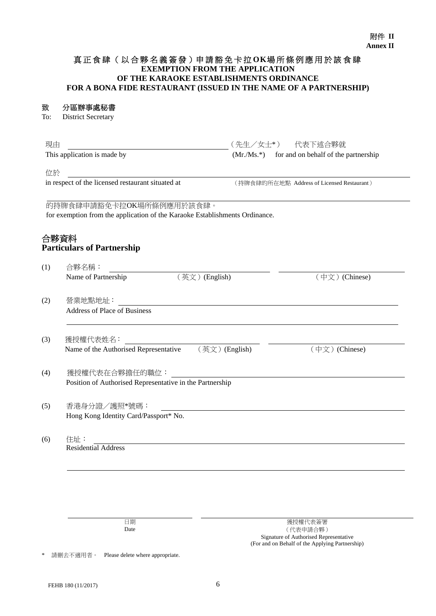#### 真 正 食 肆 ( 以 合 夥 名 義 簽 發 )申 請 豁 免 卡 拉 **OK**場所條例應用於該食肆 **EXEMPTION FROM THE APPLICATION OF THE KARAOKE ESTABLISHMENTS ORDINANCE FOR A BONA FIDE RESTAURANT (ISSUED IN THE NAME OF A PARTNERSHIP)**

### 致 分區辦事處秘書

To: District Secretary

| (Mr./Ms.*) for and on behalf of the partnership<br>(持牌食肆的所在地點 Address of Licensed Restaurant)<br>的持牌食肆申請豁免卡拉OK場所條例應用於該食肆。<br>for exemption from the application of the Karaoke Establishments Ordinance. |
|----------------------------------------------------------------------------------------------------------------------------------------------------------------------------------------------------------|
|                                                                                                                                                                                                          |
|                                                                                                                                                                                                          |
|                                                                                                                                                                                                          |
|                                                                                                                                                                                                          |
|                                                                                                                                                                                                          |
| (英文) (English)<br>(中文) (Chinese)                                                                                                                                                                         |
|                                                                                                                                                                                                          |
|                                                                                                                                                                                                          |
| (英文) (English)<br>(中文) (Chinese)                                                                                                                                                                         |
| Position of Authorised Representative in the Partnership                                                                                                                                                 |
|                                                                                                                                                                                                          |
|                                                                                                                                                                                                          |
|                                                                                                                                                                                                          |

\* 請刪去不適用者。 Please delete where appropriate.

Date

(代表申請合夥) Signature of Authorised Representative (For and on Behalf of the Applying Partnership)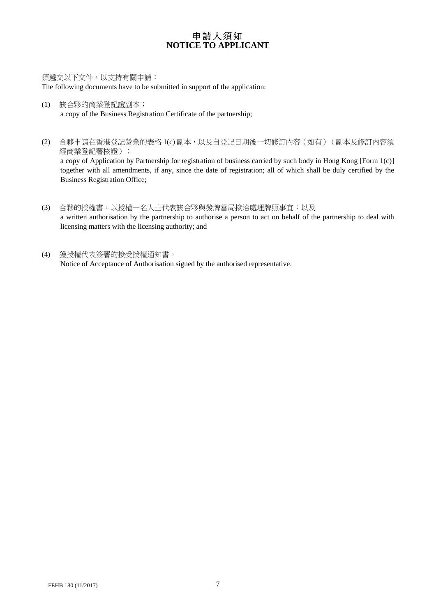## 申請人須知 **NOTICE TO APPLICANT**

須遞交以下文件,以支持有關申請: The following documents have to be submitted in support of the application:

- (1) 該合夥的商業登記證副本; a copy of the Business Registration Certificate of the partnership;
- (2) 合夥申請在香港登記營業的表格 1(c) 副本,以及自登記日期後一切修訂內容(如有)(副本及修訂內容須 經商業登記署核證); a copy of Application by Partnership for registration of business carried by such body in Hong Kong [Form 1(c)] together with all amendments, if any, since the date of registration; all of which shall be duly certified by the Business Registration Office;
- (3) 合夥的授權書,以授權一名人士代表該合夥與發牌當局接洽處理牌照事宜;以及 a written authorisation by the partnership to authorise a person to act on behalf of the partnership to deal with licensing matters with the licensing authority; and
- (4) 獲授權代表簽署的接受授權通知書。 Notice of Acceptance of Authorisation signed by the authorised representative.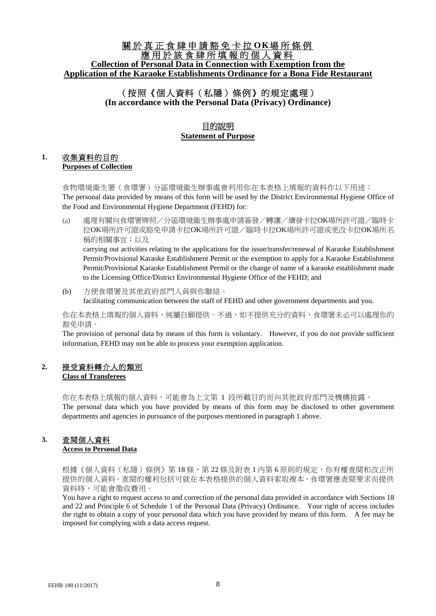## 關於真正食肆申請豁免卡拉 **O K**場所條例 應用於該食肆所填報的個人資料 **Collection of Personal Data in Connection with Exemption from the Application of the Karaoke Establishments Ordinance for a Bona Fide Restaurant**

## (按照《個人資料(私隱)條例》的規定處理) **(In accordance with the Personal Data (Privacy) Ordinance)**

## 目的說明 **Statement of Purpose**

### **1.** 收集資料的目的 **Purposes of Collection**

食物環境衞生署(食環署)分區環境衞生辦事處會利用你在本表格上填報的資料作以下用途: The personal data provided by means of this form will be used by the District Environmental Hygiene Office of the Food and Environmental Hygiene Department (FEHD) for:

- (a) 處理有關向食環署牌照/分區環境衞生辦事處申請簽發/轉讓/續發卡拉OK場所許可證/臨時卡 拉OK場所許可證或豁免申請卡拉OK場所許可證/臨時卡拉OK場所許可證或更改卡拉OK場所名 稱的相關事宜;以及 carrying out activities relating to the applications for the issue/transfer/renewal of Karaoke Establishment Permit/Provisional Karaoke Establishment Permit or the exemption to apply for a Karaoke Establishment Permit/Provisional Karaoke Establishment Permit or the change of name of a karaoke establishment made to the Licensing Office/District Environmental Hygiene Office of the FEHD; and
- (b) 方便食環署及其他政府部門人員與你聯絡。 facilitating communication between the staff of FEHD and other government departments and you.

你在本表格上填報的個人資料,純屬自願提供。不過,如不提供充分的資料,食環署未必可以處理你的 豁免申請。

The provision of personal data by means of this form is voluntary. However, if you do not provide sufficient information, FEHD may not be able to process your exemption application.

#### **2.** 接受資料轉介人的類別 **Class of Transferees**

你在本表格上填報的個人資料,可能會為上文第 1 段所載目的而向其他政府部門及機構披露。 The personal data which you have provided by means of this form may be disclosed to other government departments and agencies in pursuance of the purposes mentioned in paragraph 1 above.

# **3.** 查閱個人資料

#### **Access to Personal Data**

根據《個人資料(私隱)條例》第18條、第22條及附表1內第6原則的規定,你有權查閱和改正所 提供的個人資料。查閱的權利包括可就在本表格提供的個人資料索取複本。食環署應查閱要求而提供 資料時,可能會徵收費用。

You have a right to request access to and correction of the personal data provided in accordance with Sections 18 and 22 and Principle 6 of Schedule 1 of the Personal Data (Privacy) Ordinance. Your right of access includes the right to obtain a copy of your personal data which you have provided by means of this form. A fee may be imposed for complying with a data access request.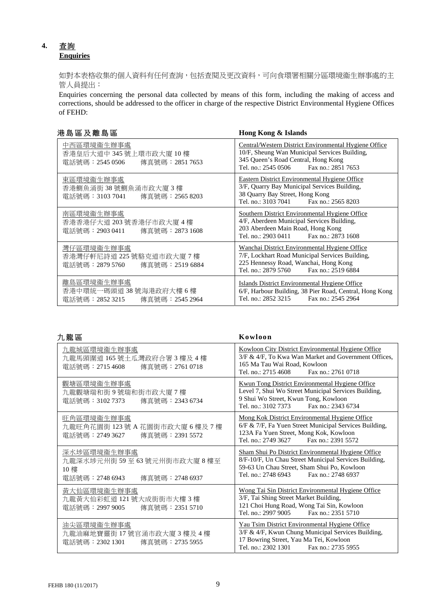## **4.** 查詢 **Enquiries**

如對本表格收集的個人資料有任何查詢,包括查閱及更改資料,可向食環署相關分區環境衞生辦事處的主 管人員提出:

Enquiries concerning the personal data collected by means of this form, including the making of access and corrections, should be addressed to the officer in charge of the respective District Environmental Hygiene Offices of FEHD:

|  |  |  |  | 港島區及離島區 |  |  |
|--|--|--|--|---------|--|--|
|--|--|--|--|---------|--|--|

Hong Kong & Islands

| 中西區環境衞生辦事處<br>香港皇后大道中 345 號上環市政大廈 10 樓<br>電話號碼: 2545 0506<br>傳真號碼:2851 7653 | Central/Western District Environmental Hygiene Office<br>10/F, Sheung Wan Municipal Services Building,<br>345 Queen's Road Central, Hong Kong<br>Tel. no.: 2545 0506<br>Fax no.: 2851 7653 |
|-----------------------------------------------------------------------------|--------------------------------------------------------------------------------------------------------------------------------------------------------------------------------------------|
| 東區環境衞生辦事處<br>香港鰂魚涌街 38 號鰂魚涌市政大廈 3 樓<br>電話號碼:3103 7041<br>傳真號碼:2565 8203     | Eastern District Environmental Hygiene Office<br>3/F, Quarry Bay Municipal Services Building,<br>38 Quarry Bay Street, Hong Kong<br>Tel. no.: 3103 7041<br>Fax no.: 2565 8203              |
| 南區環境衞生辦事處<br>香港香港仔大道 203 號香港仔市政大廈 4 樓<br>電話號碼:2903 0411<br>傳真號碼:2873 1608   | Southern District Environmental Hygiene Office<br>4/F, Aberdeen Municipal Services Building,<br>203 Aberdeen Main Road, Hong Kong<br>Tel. no.: 2903 0411 Fax no.: 2873 1608                |
| 灣仔區環境衞生辦事處<br>香港灣仔軒尼詩道 225 號駱克道市政大廈 7 樓<br>電話號碼:2879 5760<br>傳真號碼:2519 6884 | Wanchai District Environmental Hygiene Office<br>7/F, Lockhart Road Municipal Services Building,<br>225 Hennessy Road, Wanchai, Hong Kong<br>Tel. no.: 2879 5760<br>Fax no.: 2519 6884     |
| 離島區環境衞生辦事處<br>香港中環統一碼頭道38號海港政府大樓6樓<br>電話號碼:2852 3215<br>傳真號碼:2545 2964      | Islands District Environmental Hygiene Office<br>6/F, Harbour Building, 38 Pier Road, Central, Hong Kong<br>Tel. no.: 2852 3215<br>Fax no.: 2545 2964                                      |

| 九龍區                                                                       | Kowloon                                                                                                                                                                                 |
|---------------------------------------------------------------------------|-----------------------------------------------------------------------------------------------------------------------------------------------------------------------------------------|
| 九龍城區環境衞生辦事處<br>九龍馬頭圍道165號土瓜灣政府合署3樓及4樓<br>電話號碼:2715 4608<br>傳真號碼:2761 0718 | Kowloon City District Environmental Hygiene Office<br>3/F & 4/F, To Kwa Wan Market and Government Offices,<br>165 Ma Tau Wai Road, Kowloon<br>Tel. no.: 2715 4608<br>Fax no.: 2761 0718 |
| 觀塘區環境衞生辦事處                                                                | <b>Kwun Tong District Environmental Hygiene Office</b>                                                                                                                                  |
| 九龍觀塘瑞和街9號瑞和街市政大廈7樓                                                        | Level 7, Shui Wo Street Municipal Services Building,                                                                                                                                    |
| 電話號碼:3102 7373                                                            | 9 Shui Wo Street, Kwun Tong, Kowloon                                                                                                                                                    |
| 傳真號碼: 2343 6734                                                           | Tel. no.: 3102 7373 Fax no.: 2343 6734                                                                                                                                                  |
| 旺角區環境衞生辦事處                                                                | Mong Kok District Environmental Hygiene Office                                                                                                                                          |
| 九龍旺角花園街 123號 A 花園街市政大廈 6 樓及 7 樓                                           | 6/F & 7/F, Fa Yuen Street Municipal Services Building,                                                                                                                                  |
| 電話號碼:2749 3627                                                            | 123A Fa Yuen Street, Mong Kok, Kowloon                                                                                                                                                  |
| 傳真號碼:2391 5572                                                            | Tel. no.: 2749 3627 Fax no.: 2391 5572                                                                                                                                                  |
| 深水埗區環境衞生辦事處                                                               | Sham Shui Po District Environmental Hygiene Office                                                                                                                                      |
| 九龍深水埗元州街 59至 63號元州街市政大廈 8樓至                                               | 8/F-10/F, Un Chau Street Municipal Services Building,                                                                                                                                   |
| 10 樓                                                                      | 59-63 Un Chau Street, Sham Shui Po, Kowloon                                                                                                                                             |
| 電話號碼:2748 6943                                                            | Tel. no.: 2748 6943                                                                                                                                                                     |
| 傳真號碼: 2748 6937                                                           | Fax no.: 2748 6937                                                                                                                                                                      |
| 黃大仙區環境衞生辦事處                                                               | Wong Tai Sin District Environmental Hygiene Office                                                                                                                                      |
| 九龍黃大仙彩虹道 121號大成街街市大樓3樓                                                    | 3/F, Tai Shing Street Market Building,                                                                                                                                                  |
| 傳真號碼: 2351 5710                                                           | 121 Choi Hung Road, Wong Tai Sin, Kowloon                                                                                                                                               |
| 電話號碼:2997 9005                                                            | Tel. no.: 2997 9005 Fax no.: 2351 5710                                                                                                                                                  |
| 油尖區環境衞生辦事處                                                                | Yau Tsim District Environmental Hygiene Office                                                                                                                                          |
| 九龍油麻地寶靈街 17號官涌市政大廈3樓及4樓                                                   | 3/F & 4/F, Kwun Chung Municipal Services Building,                                                                                                                                      |
| 電話號碼:2302 1301                                                            | 17 Bowring Street, Yau Ma Tei, Kowloon                                                                                                                                                  |
| 傳真號碼:2735 5955                                                            | Tel. no.: 2302 1301 Fax no.: 2735 5955                                                                                                                                                  |